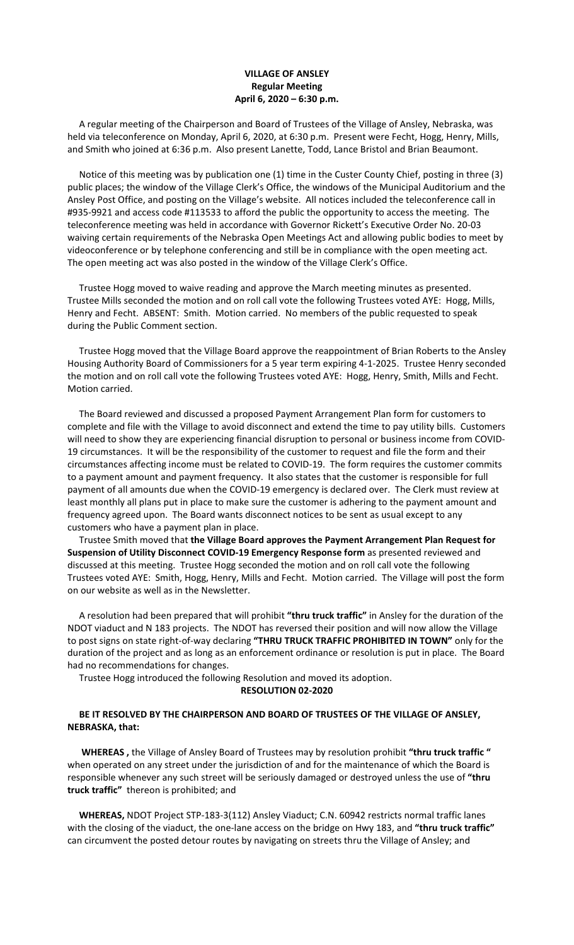## **VILLAGE OF ANSLEY Regular Meeting April 6, 2020 – 6:30 p.m.**

 A regular meeting of the Chairperson and Board of Trustees of the Village of Ansley, Nebraska, was held via teleconference on Monday, April 6, 2020, at 6:30 p.m. Present were Fecht, Hogg, Henry, Mills, and Smith who joined at 6:36 p.m. Also present Lanette, Todd, Lance Bristol and Brian Beaumont.

 Notice of this meeting was by publication one (1) time in the Custer County Chief, posting in three (3) public places; the window of the Village Clerk's Office, the windows of the Municipal Auditorium and the Ansley Post Office, and posting on the Village's website. All notices included the teleconference call in #935-9921 and access code #113533 to afford the public the opportunity to access the meeting. The teleconference meeting was held in accordance with Governor Rickett's Executive Order No. 20-03 waiving certain requirements of the Nebraska Open Meetings Act and allowing public bodies to meet by videoconference or by telephone conferencing and still be in compliance with the open meeting act. The open meeting act was also posted in the window of the Village Clerk's Office.

 Trustee Hogg moved to waive reading and approve the March meeting minutes as presented. Trustee Mills seconded the motion and on roll call vote the following Trustees voted AYE: Hogg, Mills, Henry and Fecht. ABSENT: Smith. Motion carried. No members of the public requested to speak during the Public Comment section.

 Trustee Hogg moved that the Village Board approve the reappointment of Brian Roberts to the Ansley Housing Authority Board of Commissioners for a 5 year term expiring 4-1-2025. Trustee Henry seconded the motion and on roll call vote the following Trustees voted AYE: Hogg, Henry, Smith, Mills and Fecht. Motion carried.

 The Board reviewed and discussed a proposed Payment Arrangement Plan form for customers to complete and file with the Village to avoid disconnect and extend the time to pay utility bills. Customers will need to show they are experiencing financial disruption to personal or business income from COVID-19 circumstances. It will be the responsibility of the customer to request and file the form and their circumstances affecting income must be related to COVID-19. The form requires the customer commits to a payment amount and payment frequency. It also states that the customer is responsible for full payment of all amounts due when the COVID-19 emergency is declared over. The Clerk must review at least monthly all plans put in place to make sure the customer is adhering to the payment amount and frequency agreed upon. The Board wants disconnect notices to be sent as usual except to any customers who have a payment plan in place.

 Trustee Smith moved that **the Village Board approves the Payment Arrangement Plan Request for Suspension of Utility Disconnect COVID-19 Emergency Response form** as presented reviewed and discussed at this meeting. Trustee Hogg seconded the motion and on roll call vote the following Trustees voted AYE: Smith, Hogg, Henry, Mills and Fecht. Motion carried. The Village will post the form on our website as well as in the Newsletter.

 A resolution had been prepared that will prohibit **"thru truck traffic"** in Ansley for the duration of the NDOT viaduct and N 183 projects. The NDOT has reversed their position and will now allow the Village to post signs on state right-of-way declaring **"THRU TRUCK TRAFFIC PROHIBITED IN TOWN"** only for the duration of the project and as long as an enforcement ordinance or resolution is put in place. The Board had no recommendations for changes.

Trustee Hogg introduced the following Resolution and moved its adoption.

**RESOLUTION 02-2020**

## **BE IT RESOLVED BY THE CHAIRPERSON AND BOARD OF TRUSTEES OF THE VILLAGE OF ANSLEY, NEBRASKA, that:**

 **WHEREAS ,** the Village of Ansley Board of Trustees may by resolution prohibit **"thru truck traffic "** when operated on any street under the jurisdiction of and for the maintenance of which the Board is responsible whenever any such street will be seriously damaged or destroyed unless the use of **"thru truck traffic"** thereon is prohibited; and

 **WHEREAS,** NDOT Project STP-183-3(112) Ansley Viaduct; C.N. 60942 restricts normal traffic lanes with the closing of the viaduct, the one-lane access on the bridge on Hwy 183, and **"thru truck traffic"** can circumvent the posted detour routes by navigating on streets thru the Village of Ansley; and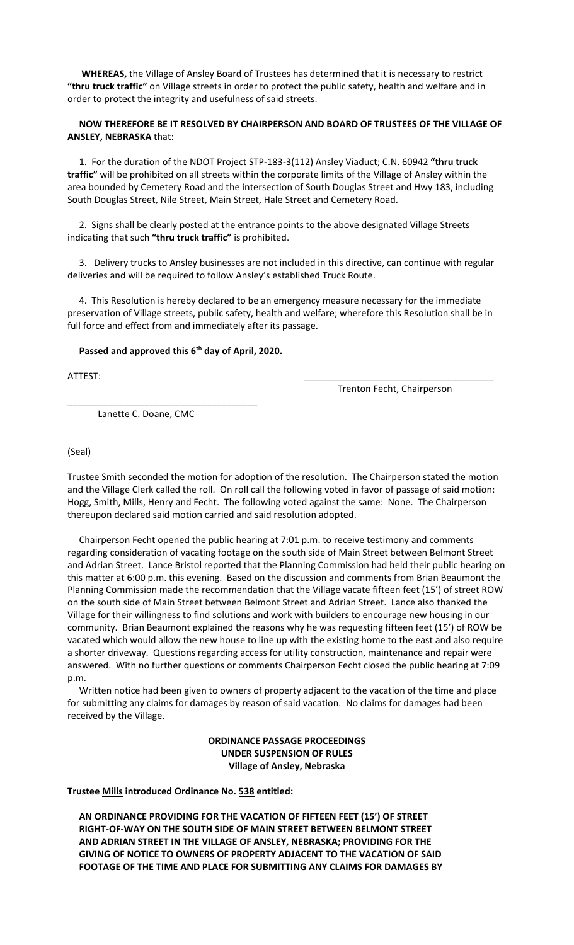**WHEREAS,** the Village of Ansley Board of Trustees has determined that it is necessary to restrict **"thru truck traffic"** on Village streets in order to protect the public safety, health and welfare and in order to protect the integrity and usefulness of said streets.

## **NOW THEREFORE BE IT RESOLVED BY CHAIRPERSON AND BOARD OF TRUSTEES OF THE VILLAGE OF ANSLEY, NEBRASKA** that:

 1. For the duration of the NDOT Project STP-183-3(112) Ansley Viaduct; C.N. 60942 **"thru truck traffic"** will be prohibited on all streets within the corporate limits of the Village of Ansley within the area bounded by Cemetery Road and the intersection of South Douglas Street and Hwy 183, including South Douglas Street, Nile Street, Main Street, Hale Street and Cemetery Road.

 2. Signs shall be clearly posted at the entrance points to the above designated Village Streets indicating that such **"thru truck traffic"** is prohibited.

 3. Delivery trucks to Ansley businesses are not included in this directive, can continue with regular deliveries and will be required to follow Ansley's established Truck Route.

 4. This Resolution is hereby declared to be an emergency measure necessary for the immediate preservation of Village streets, public safety, health and welfare; wherefore this Resolution shall be in full force and effect from and immediately after its passage.

## Passed and approved this 6<sup>th</sup> day of April, 2020.

ATTEST: \_\_\_\_\_\_\_\_\_\_\_\_\_\_\_\_\_\_\_\_\_\_\_\_\_\_\_\_\_\_\_\_\_\_\_\_\_

Trenton Fecht, Chairperson

Lanette C. Doane, CMC

\_\_\_\_\_\_\_\_\_\_\_\_\_\_\_\_\_\_\_\_\_\_\_\_\_\_\_\_\_\_\_\_\_\_\_\_\_

(Seal)

Trustee Smith seconded the motion for adoption of the resolution. The Chairperson stated the motion and the Village Clerk called the roll. On roll call the following voted in favor of passage of said motion: Hogg, Smith, Mills, Henry and Fecht. The following voted against the same: None. The Chairperson thereupon declared said motion carried and said resolution adopted.

 Chairperson Fecht opened the public hearing at 7:01 p.m. to receive testimony and comments regarding consideration of vacating footage on the south side of Main Street between Belmont Street and Adrian Street. Lance Bristol reported that the Planning Commission had held their public hearing on this matter at 6:00 p.m. this evening. Based on the discussion and comments from Brian Beaumont the Planning Commission made the recommendation that the Village vacate fifteen feet (15') of street ROW on the south side of Main Street between Belmont Street and Adrian Street. Lance also thanked the Village for their willingness to find solutions and work with builders to encourage new housing in our community. Brian Beaumont explained the reasons why he was requesting fifteen feet (15') of ROW be vacated which would allow the new house to line up with the existing home to the east and also require a shorter driveway. Questions regarding access for utility construction, maintenance and repair were answered. With no further questions or comments Chairperson Fecht closed the public hearing at 7:09 p.m.

 Written notice had been given to owners of property adjacent to the vacation of the time and place for submitting any claims for damages by reason of said vacation. No claims for damages had been received by the Village.

> **ORDINANCE PASSAGE PROCEEDINGS UNDER SUSPENSION OF RULES Village of Ansley, Nebraska**

**Trustee Mills introduced Ordinance No. 538 entitled:**

 **AN ORDINANCE PROVIDING FOR THE VACATION OF FIFTEEN FEET (15') OF STREET RIGHT-OF-WAY ON THE SOUTH SIDE OF MAIN STREET BETWEEN BELMONT STREET AND ADRIAN STREET IN THE VILLAGE OF ANSLEY, NEBRASKA; PROVIDING FOR THE GIVING OF NOTICE TO OWNERS OF PROPERTY ADJACENT TO THE VACATION OF SAID FOOTAGE OF THE TIME AND PLACE FOR SUBMITTING ANY CLAIMS FOR DAMAGES BY**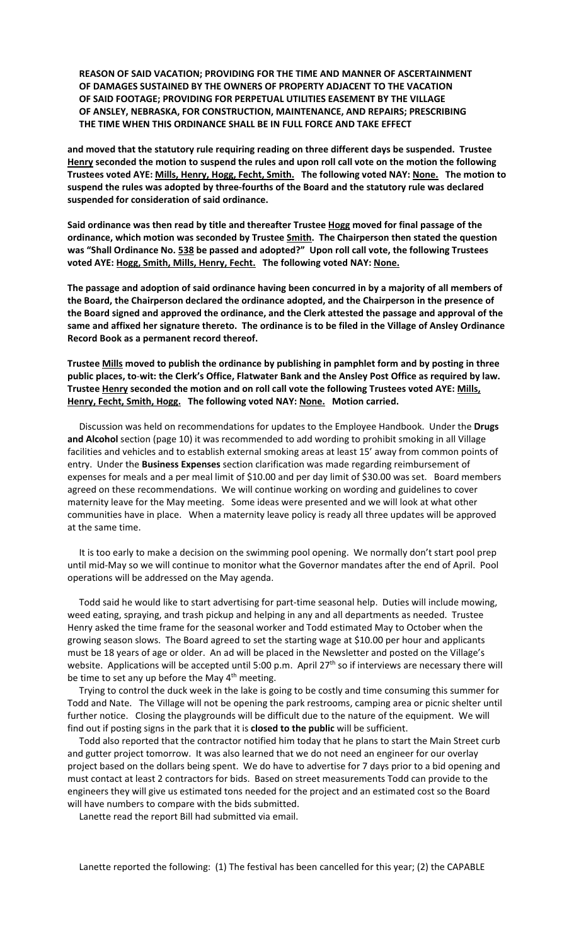**REASON OF SAID VACATION; PROVIDING FOR THE TIME AND MANNER OF ASCERTAINMENT OF DAMAGES SUSTAINED BY THE OWNERS OF PROPERTY ADJACENT TO THE VACATION OF SAID FOOTAGE; PROVIDING FOR PERPETUAL UTILITIES EASEMENT BY THE VILLAGE OF ANSLEY, NEBRASKA, FOR CONSTRUCTION, MAINTENANCE, AND REPAIRS; PRESCRIBING THE TIME WHEN THIS ORDINANCE SHALL BE IN FULL FORCE AND TAKE EFFECT**

**and moved that the statutory rule requiring reading on three different days be suspended. Trustee Henry seconded the motion to suspend the rules and upon roll call vote on the motion the following Trustees voted AYE: Mills, Henry, Hogg, Fecht, Smith. The following voted NAY: None. The motion to suspend the rules was adopted by three-fourths of the Board and the statutory rule was declared suspended for consideration of said ordinance.**

**Said ordinance was then read by title and thereafter Trustee Hogg moved for final passage of the ordinance, which motion was seconded by Trustee Smith. The Chairperson then stated the question was "Shall Ordinance No. 538 be passed and adopted?" Upon roll call vote, the following Trustees voted AYE: Hogg, Smith, Mills, Henry, Fecht. The following voted NAY: None.**

**The passage and adoption of said ordinance having been concurred in by a majority of all members of the Board, the Chairperson declared the ordinance adopted, and the Chairperson in the presence of the Board signed and approved the ordinance, and the Clerk attested the passage and approval of the same and affixed her signature thereto. The ordinance is to be filed in the Village of Ansley Ordinance Record Book as a permanent record thereof.**

**Trustee Mills moved to publish the ordinance by publishing in pamphlet form and by posting in three public places, to**-**wit: the Clerk's Office, Flatwater Bank and the Ansley Post Office as required by law. Trustee Henry seconded the motion and on roll call vote the following Trustees voted AYE: Mills, Henry, Fecht, Smith, Hogg. The following voted NAY: None. Motion carried.**

Discussion was held on recommendations for updates to the Employee Handbook. Under the **Drugs and Alcohol** section (page 10) it was recommended to add wording to prohibit smoking in all Village facilities and vehicles and to establish external smoking areas at least 15' away from common points of entry. Under the **Business Expenses** section clarification was made regarding reimbursement of expenses for meals and a per meal limit of \$10.00 and per day limit of \$30.00 was set. Board members agreed on these recommendations. We will continue working on wording and guidelines to cover maternity leave for the May meeting. Some ideas were presented and we will look at what other communities have in place. When a maternity leave policy is ready all three updates will be approved at the same time.

 It is too early to make a decision on the swimming pool opening. We normally don't start pool prep until mid-May so we will continue to monitor what the Governor mandates after the end of April. Pool operations will be addressed on the May agenda.

 Todd said he would like to start advertising for part-time seasonal help. Duties will include mowing, weed eating, spraying, and trash pickup and helping in any and all departments as needed. Trustee Henry asked the time frame for the seasonal worker and Todd estimated May to October when the growing season slows. The Board agreed to set the starting wage at \$10.00 per hour and applicants must be 18 years of age or older. An ad will be placed in the Newsletter and posted on the Village's website. Applications will be accepted until 5:00 p.m. April 27<sup>th</sup> so if interviews are necessary there will be time to set any up before the May  $4<sup>th</sup>$  meeting.

 Trying to control the duck week in the lake is going to be costly and time consuming this summer for Todd and Nate. The Village will not be opening the park restrooms, camping area or picnic shelter until further notice. Closing the playgrounds will be difficult due to the nature of the equipment. We will find out if posting signs in the park that it is **closed to the public** will be sufficient.

 Todd also reported that the contractor notified him today that he plans to start the Main Street curb and gutter project tomorrow. It was also learned that we do not need an engineer for our overlay project based on the dollars being spent. We do have to advertise for 7 days prior to a bid opening and must contact at least 2 contractors for bids. Based on street measurements Todd can provide to the engineers they will give us estimated tons needed for the project and an estimated cost so the Board will have numbers to compare with the bids submitted.

Lanette read the report Bill had submitted via email.